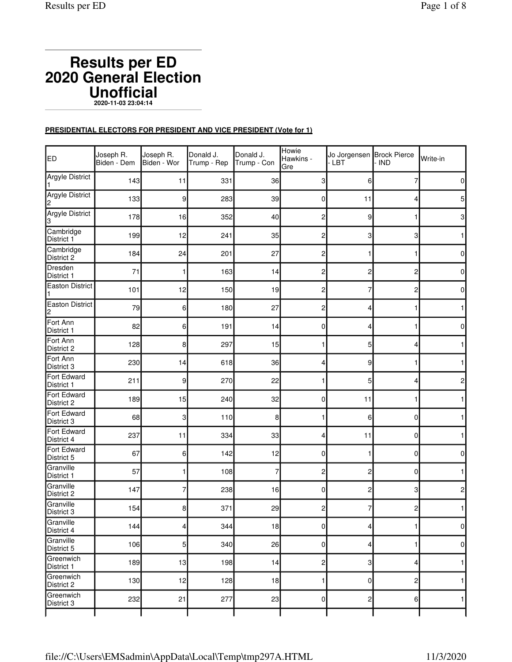# **Results per ED 2020 General Election Unofficial 2020-11-03 23:04:14**

## **PRESIDENTIAL ELECTORS FOR PRESIDENT AND VICE PRESIDENT (Vote for 1)**

| ED                          | Joseph R.<br>Biden - Dem | Joseph R.<br>Biden - Wor | Donald J.<br>Trump - Rep | Donald J.<br>Trump - Con | Howie<br>Hawkins -<br>Gre | Jo Jorgensen Brock Pierce<br>LBT | - IND        | Write-in         |
|-----------------------------|--------------------------|--------------------------|--------------------------|--------------------------|---------------------------|----------------------------------|--------------|------------------|
| <b>Argyle District</b>      | 143                      | 11                       | 331                      | 36                       | 3                         | 6                                | 7            | $\pmb{0}$        |
| <b>Argyle District</b><br>2 | 133                      | 9                        | 283                      | 39                       | $\overline{0}$            | 11                               | 4            | $5\overline{)}$  |
| Argyle District<br>3        | 178                      | 16                       | 352                      | 40                       | 2                         | 9                                | 1            | $\mathbf{3}$     |
| Cambridge<br>District 1     | 199                      | 12                       | 241                      | 35                       | 2                         | 3                                | 3            | $\mathbf{1}$     |
| Cambridge<br>District 2     | 184                      | 24                       | 201                      | 27                       | 2                         |                                  | 1            | $\pmb{0}$        |
| Dresden<br>District 1       | 71                       | 1                        | 163                      | 14                       | 2                         | 2                                | 2            | $\pmb{0}$        |
| <b>Easton District</b><br>1 | 101                      | 12                       | 150                      | 19                       | 2                         | 7                                | 2            | $\pmb{0}$        |
| <b>Easton District</b><br>2 | 79                       | 6                        | 180                      | 27                       | 2                         | 4                                | 1            | $\mathbf{1}$     |
| Fort Ann<br>District 1      | 82                       | 6                        | 191                      | 14                       | 0                         | 4                                | 1            | $\mathbf 0$      |
| Fort Ann<br>District 2      | 128                      | 8                        | 297                      | 15                       |                           | 5                                | 4            | $\mathbf{1}$     |
| Fort Ann<br>District 3      | 230                      | 14                       | 618                      | 36                       | 4                         | 9                                | 1            | $\mathbf{1}$     |
| Fort Edward<br>District 1   | 211                      | 9                        | 270                      | 22                       | 1                         | 5                                | 4            | $\overline{c}$   |
| Fort Edward<br>District 2   | 189                      | 15                       | 240                      | 32                       | 0                         | 11                               | 1            | $\mathbf{1}$     |
| Fort Edward<br>District 3   | 68                       | 3                        | 110                      | 8                        | 1                         | 6                                | $\mathbf{0}$ | $\mathbf{1}$     |
| Fort Edward<br>District 4   | 237                      | 11                       | 334                      | 33                       | 4                         | 11                               | 0            | $\mathbf{1}$     |
| Fort Edward<br>District 5   | 67                       | 6                        | 142                      | 12                       | 0                         |                                  | 0            | $\boldsymbol{0}$ |
| Granville<br>District 1     | 57                       | 1                        | 108                      | 7                        | 2                         | 2                                | $\mathbf 0$  | $\mathbf{1}$     |
| Granville<br>District 2     | 147                      | 7                        | 238                      | 16                       | 0                         | 2                                | 3            | $\overline{c}$   |
| Granville<br>District 3     | 154                      | 8                        | 371                      | 29                       | 2                         | 7                                | 2            | $\mathbf{1}$     |
| Granville<br>District 4     | 144                      | $\vert 4 \vert$          | 344                      | 18                       | $\overline{0}$            | $\overline{4}$                   | $\mathbf{1}$ | $\pmb{0}$        |
| Granville<br>District 5     | 106                      | 5                        | 340                      | 26                       | $\overline{0}$            | 4                                | 1            | $\pmb{0}$        |
| Greenwich<br>District 1     | 189                      | 13                       | 198                      | 14                       | 2                         | 3                                | 4            | $\mathbf{1}$     |
| Greenwich<br>District 2     | 130                      | 12                       | 128                      | 18                       | 1                         | $\overline{0}$                   | 2            | $\mathbf{1}$     |
| Greenwich<br>District 3     | 232                      | 21                       | 277                      | 23                       | 0                         | 2                                | 6            | $\mathbf{1}$     |
|                             |                          |                          |                          |                          |                           |                                  |              |                  |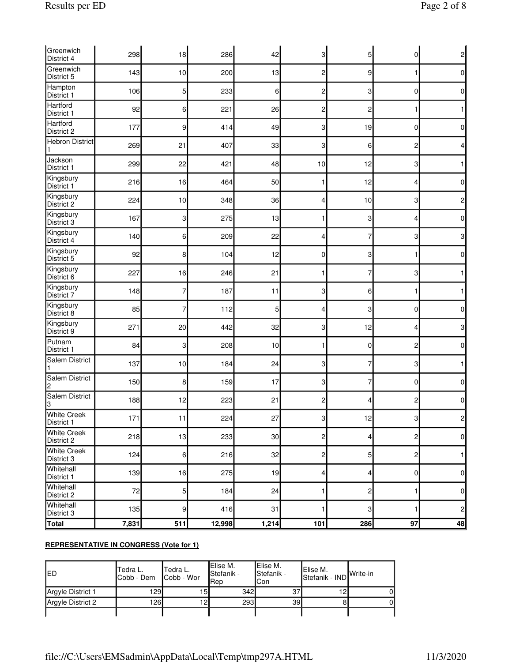| Greenwich<br>District 4          | 298   | 18               | 286    | 42    | 3            | 5           | $\Omega$       | 2              |
|----------------------------------|-------|------------------|--------|-------|--------------|-------------|----------------|----------------|
| Greenwich<br>District 5          | 143   | 10               | 200    | 13    | 2            | 9           | 1              | 0              |
| Hampton<br>District 1            | 106   | 5                | 233    | 6     | 2            | 3           | 0              | 0              |
| Hartford<br>District 1           | 92    | 6                | 221    | 26    | 2            | 2           | 1              |                |
| Hartford<br>District 2           | 177   | 9                | 414    | 49    | 3            | 19          | 0              | $\overline{0}$ |
| <b>Hebron District</b><br>1      | 269   | 21               | 407    | 33    | 3            | 6           | 2              | 4              |
| Jackson<br>District 1            | 299   | 22               | 421    | 48    | 10           | 12          | 3              | 1.             |
| Kingsbury<br>District 1          | 216   | 16               | 464    | 50    |              | 12          | 4              | 0              |
| Kingsbury<br>District 2          | 224   | 10               | 348    | 36    | 4            | 10          | 3              | 2              |
| Kingsbury<br>District 3          | 167   | 3                | 275    | 13    |              | 3           | 4              | 0              |
| Kingsbury<br>District 4          | 140   | 6                | 209    | 22    | 4            | 7           | 3              | 3              |
| Kingsbury<br>District 5          | 92    | 8                | 104    | 12    | 0            | 3           | 1              | $\overline{0}$ |
| Kingsbury<br>District 6          | 227   | 16               | 246    | 21    |              | 7           | 3              |                |
| Kingsbury<br>District 7          | 148   | 7                | 187    | 11    | 3            | 6           | 1              |                |
| Kingsbury<br>District 8          | 85    | 7                | 112    | 5     | 4            | 3           | 0              | 0              |
| Kingsbury<br>District 9          | 271   | 20               | 442    | 32    | 3            | 12          | 4              | 3              |
| Putnam<br>District 1             | 84    | 3                | 208    | 10    | 1            | $\mathbf 0$ | 2              | 0              |
| <b>Salem District</b><br>1       | 137   | 10               | 184    | 24    | 3            | 7           | 3              |                |
| <b>Salem District</b><br>2       | 150   | 8                | 159    | 17    | 3            | 7           | 0              | 0              |
| <b>Salem District</b><br>3       | 188   | 12               | 223    | 21    | 2            | 4           | 2              | 0              |
| <b>White Creek</b><br>District 1 | 171   | 11               | 224    | 27    | ЗΙ           | 12          | з              | っ              |
| <b>White Creek</b><br>District 2 | 218   | 13               | 233    | 30    | 2            | 4           | $\overline{c}$ | 0              |
| <b>White Creek</b><br>District 3 | 124   | 6                | 216    | 32    | $\mathbf{2}$ | 5           | $\overline{c}$ | $\mathbf{1}$   |
| Whitehall<br>District 1          | 139   | 16               | 275    | 19    | 4            | 4           | 0              | 0              |
| Whitehall<br>District 2          | 72    | 5                | 184    | 24    | 1            | 2           | 1              | $\overline{0}$ |
| Whitehall<br>District 3          | 135   | 9                | 416    | 31    | 1            | 3           | 1              | 2              |
| <b>Total</b>                     | 7,831 | $\overline{511}$ | 12,998 | 1,214 | 101          | 286         | 97             | 48             |

Tedra L. Cobb - Wor

Elise M. Stefanik - Rep

Argyle District 1 129 15 342 37 12 0 Argyle District 2 126 12 12 293 39 8 0

ı

Elise M. Stefanik - Con

Elise M. Stefanik - IND Write-in

**REPRESENTATIVE IN CONGRESS (Vote for 1)**

ED Tedra L. Cobb - Dem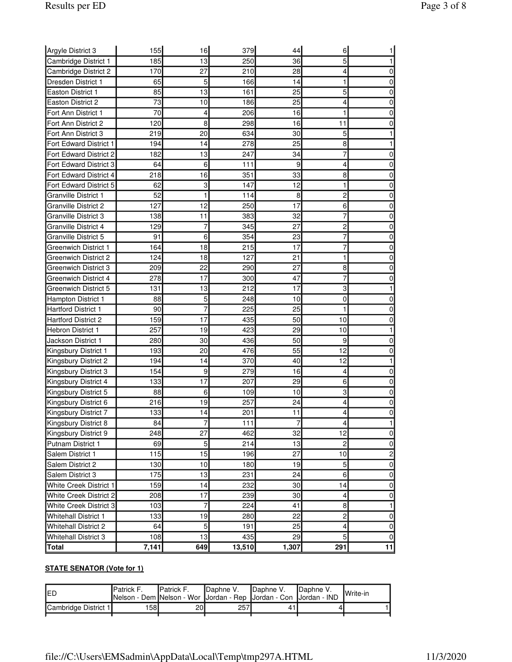| Argyle District 3             | 155   | 16  | 379    | 44    | 6              |    |
|-------------------------------|-------|-----|--------|-------|----------------|----|
| Cambridge District 1          | 185   | 13  | 250    | 36    | 5              |    |
| Cambridge District 2          | 170   | 27  | 210    | 28    | 4              | 0  |
| Dresden District 1            | 65    | 5   | 166    | 14    | 1              | 0  |
| <b>Easton District 1</b>      | 85    | 13  | 161    | 25    | 5              | 0  |
| <b>Easton District 2</b>      | 73    | 10  | 186    | 25    | 4              | 0  |
| Fort Ann District 1           | 70    | 4   | 206    | 16    | 1              | 0  |
| Fort Ann District 2           | 120   | 8   | 298    | 16    | 11             | 0  |
| Fort Ann District 3           | 219   | 20  | 634    | 30    | 5              | 1  |
| Fort Edward District 1        | 194   | 14  | 278    | 25    | 8              | 1  |
| Fort Edward District 2        | 182   | 13  | 247    | 34    | 7              | 0  |
| Fort Edward District 3        | 64    | 6   | 111    | 9     | 4              | 0  |
| Fort Edward District 4        | 218   | 16  | 351    | 33    | 8              | 0  |
| Fort Edward District 5        | 62    | 3   | 147    | 12    | 1              | 0  |
| <b>Granville District 1</b>   | 52    | 1   | 114    | 8     | 2              | 0  |
| <b>Granville District 2</b>   | 127   | 12  | 250    | 17    | 6              | 0  |
| <b>Granville District 3</b>   | 138   | 11  | 383    | 32    | 7              | 0  |
| Granville District 4          | 129   | 7   | 345    | 27    | 2              | 0  |
| Granville District 5          | 91    | 6   | 354    | 23    | 7              | 0  |
| Greenwich District 1          | 164   | 18  | 215    | 17    | 7              | 0  |
| Greenwich District 2          | 124   | 18  | 127    | 21    | 1              | 0  |
| Greenwich District 3          | 209   | 22  | 290    | 27    | 8              | 0  |
| Greenwich District 4          | 278   | 17  | 300    | 47    | 7              | 0  |
| Greenwich District 5          | 131   | 13  | 212    | 17    | 3              | 1  |
| Hampton District 1            | 88    | 5   | 248    | 10    | 0              | 0  |
| <b>Hartford District 1</b>    | 90    | 7   | 225    | 25    | 1              | 0  |
| <b>Hartford District 2</b>    | 159   | 17  | 435    | 50    | 10             | 0  |
| <b>Hebron District 1</b>      | 257   | 19  | 423    | 29    | 10             | 1  |
| Jackson District 1            | 280   | 30  | 436    | 50    | 9              | 0  |
| Kingsbury District 1          | 193   | 20  | 476    | 55    | 12             | 0  |
| Kingsbury District 2          | 194   | 14  | 370    | 40    | 12             | 1  |
| Kingsbury District 3          | 154   | 9   | 279    | 16    | 4              | 0  |
| Kingsbury District 4          | 133   | 17  | 207    | 29    | 6              | 0  |
| Kingsbury District 5          | 88    | 6   | 109    | 10    | 3              | 0  |
| Kingsbury District 6          | 216   | 19  | 257    | 24    | 4              | 0  |
| Kingsbury District 7          | 133   | 14  | 201    | 11    | 4              | 0  |
| Kingsbury District 8          | 84    | 7   | 111    | 7     | 4              | 1  |
| Kingsbury District 9          | 248   | 27  | 462    | 32    | 12             | 0  |
| <b>Putnam District 1</b>      | 69    | 5   | 214    | 13    | $\overline{c}$ | 0  |
| Salem District 1              | 115   | 15  | 196    | 27    | 10             | 2  |
| Salem District 2              | 130   | 10  | 180    | 19    | 5              | 0  |
| Salem District 3              | 175   | 13  | 231    | 24    | 6              | 0  |
| White Creek District 1        | 159   | 14  | 232    | 30    | 14             | 0  |
| <b>White Creek District 2</b> | 208   | 17  | 239    | 30    | 4              | 0  |
| <b>White Creek District 3</b> | 103   | 7   | 224    | 41    | 8              | 1  |
| <b>Whitehall District 1</b>   | 133   | 19  | 280    | 22    | $\overline{c}$ | 0  |
| <b>Whitehall District 2</b>   | 64    | 5   | 191    | 25    | 4              | 0  |
| Whitehall District 3          | 108   | 13  | 435    | 29    | 5              | 0  |
| Total                         | 7,141 | 649 | 13,510 | 1,307 | 291            | 11 |

| IED                  | <b>IPatrick F.</b><br>Nelson - Dem Nelson - Wor Jordan - Rep Jordan - Con Jordan - IND | <b>IPatrick F.</b> | <b>I</b> Daphne V. | Daphne V. | Daphne V. | <b>I</b> Write-in |
|----------------------|----------------------------------------------------------------------------------------|--------------------|--------------------|-----------|-----------|-------------------|
| Cambridge District 1 | 1581                                                                                   | 20l                | 257                | 41        |           |                   |
|                      |                                                                                        |                    |                    |           |           |                   |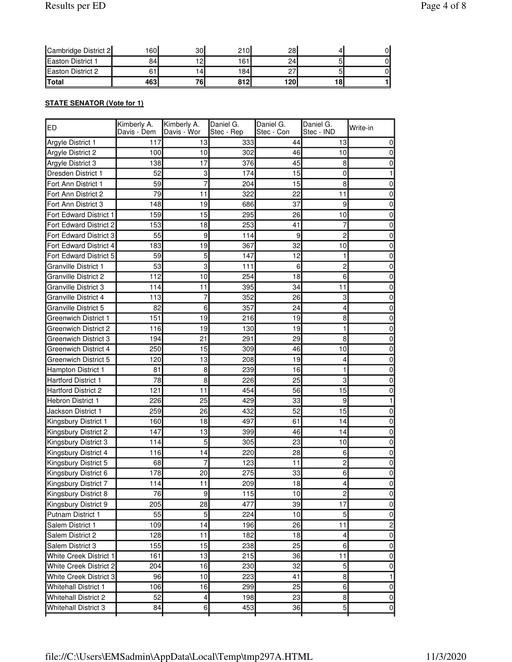| <b>Easton District 2</b> |       | ۱4،         | 184 |     |    |  |
|--------------------------|-------|-------------|-----|-----|----|--|
| <b>Total</b>             | 4631  | 76,         | 812 | 120 | 18 |  |
| Easton District 1        | 84    | າດ<br>. د ، | 161 | 24  |    |  |
| Cambridge District 2     | 160 I | 30l         | 210 | 28  |    |  |

# **STATE SENATOR (Vote for 1)**

| ED                          | Kimberly A.<br>Davis - Dem | Kimberly A.<br>Davis - Wor | Daniel G.<br>Stec - Rep | Daniel G.<br>Stec - Con | Daniel G.<br>Stec - IND | Write-in       |
|-----------------------------|----------------------------|----------------------------|-------------------------|-------------------------|-------------------------|----------------|
| Argyle District 1           | 117                        | 13                         | 333                     | 44                      | 13                      | $\overline{0}$ |
| Argyle District 2           | 100                        | 10                         | 302                     | 46                      | 10                      | $\overline{0}$ |
| Argyle District 3           | 138                        | 17                         | 376                     | 45                      | 8                       | $\overline{0}$ |
| Dresden District 1          | 52                         | 3                          | 174                     | 15                      | 0                       | 1              |
| Fort Ann District 1         | 59                         | 7                          | 204                     | 15                      | 8                       | 0              |
| Fort Ann District 2         | 79                         | 11                         | 322                     | 22                      | 11                      | 0              |
| Fort Ann District 3         | 148                        | 19                         | 686                     | 37                      | 9                       | $\overline{0}$ |
| Fort Edward District 1      | 159                        | 15                         | 295                     | 26                      | 10                      | $\overline{0}$ |
| Fort Edward District 2      | 153                        | 18                         | 253                     | 41                      | 7                       | $\overline{0}$ |
| Fort Edward District 3      | 55                         | 9                          | 114                     | 9                       | 2                       | $\overline{0}$ |
| Fort Edward District 4      | 183                        | 19                         | 367                     | 32                      | 10                      | $\overline{0}$ |
| Fort Edward District 5      | 59                         | 5                          | 147                     | 12                      | 1                       | $\overline{0}$ |
| <b>Granville District 1</b> | 53                         | 3                          | 111                     | 6                       | 2                       | $\overline{0}$ |
| Granville District 2        | 112                        | 10                         | 254                     | 18                      | 6                       | $\overline{0}$ |
| Granville District 3        | 114                        | 11                         | 395                     | 34                      | 11                      | $\overline{0}$ |
| Granville District 4        | 113                        | 7                          | 352                     | 26                      | 3                       | $\overline{0}$ |
| Granville District 5        | 82                         | 6                          | 357                     | 24                      | 4                       | $\overline{0}$ |
| <b>Greenwich District 1</b> | 151                        | 19                         | 216                     | 19                      | 8                       | $\overline{0}$ |
| <b>Greenwich District 2</b> | 116                        | 19                         | 130                     | 19                      | 1                       | $\overline{0}$ |
| <b>Greenwich District 3</b> | 194                        | 21                         | 291                     | 29                      | 8                       | 0              |
| <b>Greenwich District 4</b> | 250                        | 15                         | 309                     | 46                      | 10                      | 0              |
| <b>Greenwich District 5</b> | 120                        | 13                         | 208                     | 19                      | 4                       | 0              |
| Hampton District 1          | 81                         | 8                          | 239                     | 16                      | 1                       | $\overline{0}$ |
| Hartford District 1         | 78                         | 8                          | 226                     | 25                      | 3                       | $\overline{0}$ |
| <b>Hartford District 2</b>  | 121                        | 11                         | 454                     | 56                      | 15                      | $\overline{0}$ |
| Hebron District 1           | 226                        | 25                         | 429                     | 33                      | 9                       | 1              |
| Jackson District 1          | 259                        | 26                         | 432                     | 52                      | 15                      | $\overline{0}$ |
| Kingsbury District 1        | 160                        | 18                         | 497                     | 61                      | 14                      | $\overline{0}$ |
| Kingsbury District 2        | 147                        | 13                         | 399                     | 46                      | 14                      | $\overline{0}$ |
| Kingsbury District 3        | 114                        | 5                          | 305                     | 23                      | 10                      | $\overline{0}$ |
| Kingsbury District 4        | 116                        | 14                         | 220                     | 28                      | 6                       | $\overline{0}$ |
| Kingsbury District 5        | 68                         | 7                          | 123                     | 11                      | 2                       | $\overline{0}$ |
| Kingsbury District 6        | 178                        | 20                         | 275                     | 33                      | 6                       | $\overline{0}$ |
| Kingsbury District 7        | 114                        | 11                         | 209                     | 18                      | 4                       | $\overline{0}$ |
| Kingsbury District 8        | $\overline{76}$            | $\overline{9}$             | 115                     | 10                      | $\overline{2}$          | $\overline{0}$ |
| Kingsbury District 9        | 205                        | 28                         | 477                     | 39                      | 17                      | $\overline{0}$ |
| Putnam District 1           | 55                         | 5                          | 224                     | 10                      | 5                       | $\overline{0}$ |
| Salem District 1            | 109                        | 14                         | 196                     | 26                      | 11                      | $\mathbf{2}$   |
| Salem District 2            | 128                        | 11                         | 182                     | 18                      | $\overline{\mathbf{4}}$ | $\overline{0}$ |
| Salem District 3            | 155                        | 15                         | 238                     | 25                      | 6                       | $\overline{0}$ |
| White Creek District 1      | 161                        | 13                         | 215                     | 36                      | 11                      | $\overline{0}$ |
| White Creek District 2      | 204                        | 16                         | 230                     | 32                      | 5                       | $\overline{0}$ |
| White Creek District 3      | 96                         | 10                         | 223                     | 41                      | $\bf{8}$                | 1              |
| <b>Whitehall District 1</b> | 106                        | 16                         | 299                     | 25                      | $\,6$                   | $\overline{0}$ |
| <b>Whitehall District 2</b> | 52                         | $\overline{\mathbf{4}}$    | 198                     | 23                      | $\bf{8}$                | $\overline{0}$ |
| <b>Whitehall District 3</b> | 84                         | $6 \overline{}$            | 453                     | 36                      | $\overline{5}$          | 0              |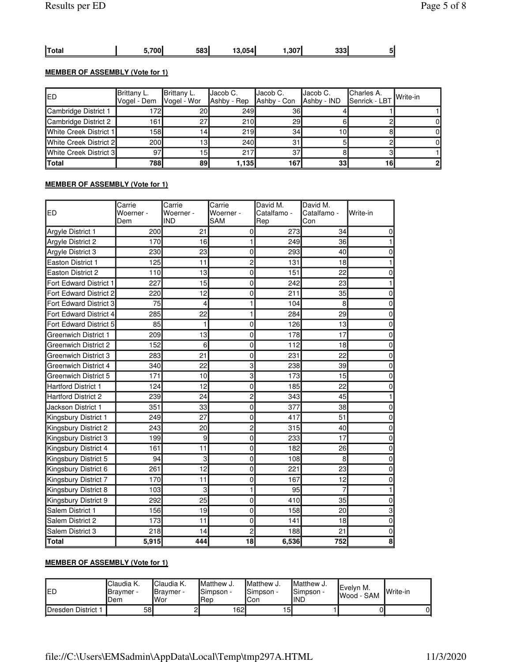|  | <b>Total</b> | $-700$ | 583 | 13.054l | '307'، | 333 |  |
|--|--------------|--------|-----|---------|--------|-----|--|
|--|--------------|--------|-----|---------|--------|-----|--|

## **MEMBER OF ASSEMBLY (Vote for 1)**

| IED                             | Brittany L.<br> Vogel - Dem | Brittany L.<br>Vogel - Wor | <b>I</b> Jacob C.<br>Ashby - Rep | IJacob C.<br>Ashby - Con | Jacob C.<br>Ashby - IND | <b>I</b> Charles A.<br>Senrick - LBT Write-in |  |
|---------------------------------|-----------------------------|----------------------------|----------------------------------|--------------------------|-------------------------|-----------------------------------------------|--|
| Cambridge District 1            | 172                         | 20I                        | <b>249</b>                       | 36I                      |                         |                                               |  |
| Cambridge District 2            | 161 <sub>h</sub>            | 27                         | 210                              | 29I                      |                         |                                               |  |
| White Creek District 1          | 158l                        | 14                         | 219                              | 34 <sub>l</sub>          | 10I                     |                                               |  |
| <b>IWhite Creek District 2I</b> | 200                         | 13.                        | 240l                             |                          |                         |                                               |  |
| White Creek District 3          | 97                          | 15l                        | 217                              | 37                       |                         |                                               |  |
| Total                           | 788I                        | 89                         | 1.1351                           | 167                      | 33 <sup>1</sup>         | 16                                            |  |

## **MEMBER OF ASSEMBLY (Vote for 1)**

| ED                            | Carrie<br>Woerner -<br>Dem | Carrie<br>Woerner -<br><b>IND</b> | Carrie<br>Woerner -<br><b>SAM</b> | David M.<br>Catalfamo -<br>Rep | David M.<br>Catalfamo -<br>Con | Write-in                  |
|-------------------------------|----------------------------|-----------------------------------|-----------------------------------|--------------------------------|--------------------------------|---------------------------|
| Argyle District 1             | 200                        | 21                                | 0                                 | 273                            | 34                             | $\mathbf 0$               |
| Argyle District 2             | 170                        | 16                                | 1                                 | 249                            | 36                             | 1                         |
| Argyle District 3             | 230                        | 23                                | 0                                 | 293                            | 40                             | $\pmb{0}$                 |
| <b>Easton District 1</b>      | 125                        | 11                                | $\overline{c}$                    | 131                            | 18                             | 1                         |
| <b>Easton District 2</b>      | 110                        | 13                                | 0                                 | 151                            | 22                             | $\pmb{0}$                 |
| <b>Fort Edward District 1</b> | 227                        | 15                                | 0                                 | 242                            | 23                             | 1                         |
| Fort Edward District 2        | 220                        | 12                                | 0                                 | 211                            | 35                             | $\pmb{0}$                 |
| Fort Edward District 3        | 75                         | $\overline{\mathbf{4}}$           | 1                                 | 104                            | 8                              | $\mathbf 0$               |
| Fort Edward District 4        | 285                        | 22                                | 1                                 | 284                            | 29                             | $\mathbf 0$               |
| Fort Edward District 5        | 85                         | 1                                 | 0                                 | 126                            | 13                             | $\mathbf 0$               |
| Greenwich District 1          | 209                        | 13                                | 0                                 | 178                            | 17                             | $\pmb{0}$                 |
| Greenwich District 2          | 152                        | 6                                 | 0                                 | 112                            | 18                             | $\pmb{0}$                 |
| Greenwich District 3          | 283                        | 21                                | 0                                 | 231                            | 22                             | $\pmb{0}$                 |
| Greenwich District 4          | 340                        | 22                                | 3                                 | 238                            | 39                             | $\pmb{0}$                 |
| Greenwich District 5          | 171                        | 10                                | $\overline{3}$                    | 173                            | 15                             | $\mathbf 0$               |
| <b>Hartford District 1</b>    | 124                        | 12                                | 0                                 | 185                            | 22                             | $\pmb{0}$                 |
| <b>Hartford District 2</b>    | 239                        | 24                                | 2                                 | 343                            | 45                             | 1                         |
| Jackson District 1            | 351                        | 33                                | 0                                 | 377                            | 38                             | $\mathbf 0$               |
| Kingsbury District 1          | 249                        | 27                                | 0                                 | 417                            | 51                             | 0                         |
| Kingsbury District 2          | 243                        | 20                                | $\overline{c}$                    | 315                            | 40                             | $\mathbf 0$               |
| Kingsbury District 3          | 199                        | 9                                 | 0                                 | 233                            | 17                             | $\pmb{0}$                 |
| Kingsbury District 4          | 161                        | 11                                | 0                                 | 182                            | 26                             | $\pmb{0}$                 |
| Kingsbury District 5          | 94                         | 3                                 | $\mathbf 0$                       | 108                            | 8                              | $\pmb{0}$                 |
| Kingsbury District 6          | 261                        | 12                                | 0                                 | 221                            | 23                             | $\mathbf 0$               |
| Kingsbury District 7          | 170                        | 11                                | $\mathbf 0$                       | 167                            | 12                             | $\mathbf 0$               |
| Kingsbury District 8          | 103                        | 3                                 | 1                                 | 95                             | 7                              | 1                         |
| Kingsbury District 9          | 292                        | 25                                | 0                                 | 410                            | 35                             | $\pmb{0}$                 |
| Salem District 1              | 156                        | 19                                | 0                                 | 158                            | 20                             | $\ensuremath{\mathsf{3}}$ |
| Salem District 2              | 173                        | 11                                | 0                                 | 141                            | 18                             | $\mathbf 0$               |
| Salem District 3              | 218                        | 14                                | 2                                 | 188                            | 21                             | $\pmb{0}$                 |
| Total                         | 5,915                      | 444                               | 18                                | 6,536                          | 752                            | 8                         |

## **MEMBER OF ASSEMBLY (Vote for 1)**

| IED                | <b>I</b> Claudia K.<br><b>I</b> Bravmer -<br>Dem | <sup>I</sup> Claudia K.<br><b>I</b> Bravmer -<br>lWor | <b>I</b> Matthew J.<br>Simpson -<br>lRep | <b>I</b> Matthew J.<br>ISimpson -<br>lCon | <b>I</b> Matthew J.<br><b>I</b> Simpson -<br>IIND | lEvelvn M.<br><b>I</b> Wood - SAM | <b>Write-in</b> |
|--------------------|--------------------------------------------------|-------------------------------------------------------|------------------------------------------|-------------------------------------------|---------------------------------------------------|-----------------------------------|-----------------|
| Dresden District 1 | 58                                               |                                                       | 162I                                     | $\sqrt{5}$                                |                                                   |                                   | ΟI              |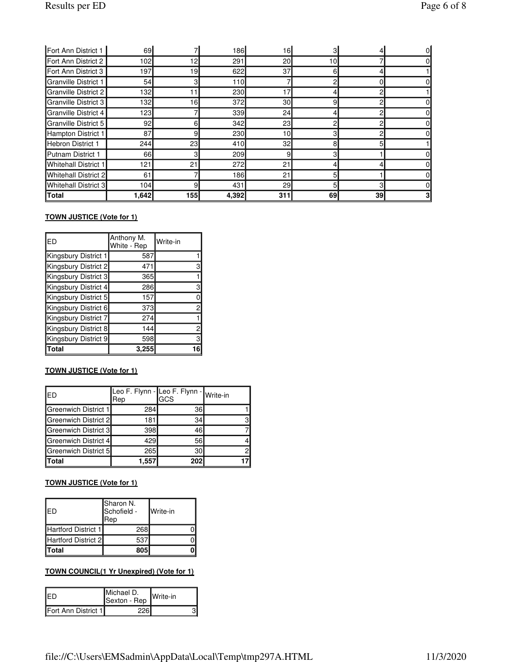| Fort Ann District 1         | 69I   |     | 186        | 16              |    |    |  |
|-----------------------------|-------|-----|------------|-----------------|----|----|--|
| Fort Ann District 2         | 102   | 12  | 291        | 20              | 10 |    |  |
| Fort Ann District 3         | 197   | 19  | 622        | 37              | 61 |    |  |
| <b>Granville District 1</b> | 54    |     | 110        |                 | c  |    |  |
| <b>Granville District 2</b> | 132   |     | 230        | 17              |    | 2  |  |
| <b>Granville District 3</b> | 132   | 16  | 372        | 30 <sup>1</sup> | 9  | c  |  |
| <b>Granville District 4</b> | 123l  |     | 339l       | 24              |    | 2  |  |
| <b>Granville District 5</b> | 92    | 6   | 342        | 23              | റ  | ◠  |  |
| Hampton District 1          | 87    | 9   | 230        | 10 <sup>1</sup> | 3  | ◠  |  |
| Hebron District 1           | 244   | 23  | 410l       | 32              | 8  | 5  |  |
| Putnam District 1           | 66I   | 3   | <b>209</b> | 9               | 3  |    |  |
| <b>Whitehall District 1</b> | 121   | 21  | 272        | 21              |    |    |  |
| Whitehall District 2        | 61    |     | 186        | 21              | 5  |    |  |
| Whitehall District 3        | 104l  | 9   | 431        | 29              | 5  | 3  |  |
| <b>Total</b>                | 1.642 | 155 | 4,392      | 311             | 69 | 39 |  |

## **TOWN JUSTICE (Vote for 1)**

| <b>IED</b>           | Anthony M.<br>White - Rep | Write-in                |
|----------------------|---------------------------|-------------------------|
| Kingsbury District 1 | 587                       |                         |
| Kingsbury District 2 | 471                       | 3                       |
| Kingsbury District 3 | 365                       |                         |
| Kingsbury District 4 | 286                       | 3                       |
| Kingsbury District 5 | 157                       | 0                       |
| Kingsbury District 6 | 373                       | 2                       |
| Kingsbury District 7 | 274                       |                         |
| Kingsbury District 8 | 144                       | $\overline{\mathbf{c}}$ |
| Kingsbury District 9 | 598                       | $\overline{3}$          |
| Total                | 3,255                     | 16                      |

## **TOWN JUSTICE (Vote for 1)**

| <b>IED</b>                  | Leo F. Flynn - Leo F. Flynn - Write-in<br>Rep | <b>GCS</b> |  |
|-----------------------------|-----------------------------------------------|------------|--|
| <b>Greenwich District 1</b> | 284                                           | 36         |  |
| Greenwich District 2        | 181                                           | 34         |  |
| Greenwich District 3        | 398                                           | 46         |  |
| Greenwich District 4        | 429                                           | 56         |  |
| Greenwich District 5        | 265                                           | 30         |  |
| Total                       | 1,557                                         | 202        |  |

#### **TOWN JUSTICE (Vote for 1)**

| <b>IED</b>          | Sharon N.<br>Schofield -<br>Rep | <b>I</b> Write-in |
|---------------------|---------------------------------|-------------------|
| Hartford District 1 | 268                             |                   |
| Hartford District 2 | 537                             |                   |
| Total               | 805                             |                   |

## **TOWN COUNCIL(1 Yr Unexpired) (Vote for 1)**

| IED                 | Michael D.<br>Sexton - Rep | <b>I</b> Write-in |
|---------------------|----------------------------|-------------------|
| Fort Ann District 1 | 226                        |                   |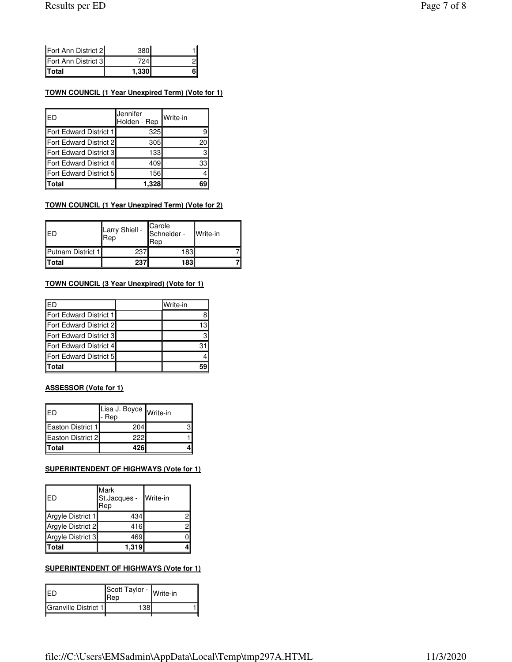#### **TOWN COUNCIL (1 Year Unexpired Term) (Vote for 1)**

| IED                    | Jennifer<br>Holden - Rep | <b>Write-in</b> |
|------------------------|--------------------------|-----------------|
| Fort Edward District 1 | 325                      |                 |
| Fort Edward District 2 | 305                      |                 |
| Fort Edward District 3 | 133                      | 3               |
| Fort Edward District 4 | 409                      | 33              |
| Fort Edward District 5 | 156                      |                 |
| <b>Total</b>           | 1,328                    |                 |

#### **TOWN COUNCIL (1 Year Unexpired Term) (Vote for 2)**

| IFD               | Larry Shiell -<br> Rep | <b>Carole</b><br>Schneider -<br>lRep | Write-in |
|-------------------|------------------------|--------------------------------------|----------|
| Putnam District 1 | 237                    | 183                                  |          |
| lTotal            | 237                    | 183                                  |          |

## **TOWN COUNCIL (3 Year Unexpired) (Vote for 1)**

| IFD                    | Write-in |
|------------------------|----------|
| Fort Edward District 1 |          |
| Fort Edward District 2 | ا3،      |
| Fort Edward District 3 |          |
| Fort Edward District 4 |          |
| Fort Edward District 5 |          |
| <b>Total</b>           |          |

#### **ASSESSOR (Vote for 1)**

| <b>IED</b>               | Lisa J. Boyce Write-in<br>- Rep |  |
|--------------------------|---------------------------------|--|
| <b>Easton District 1</b> | 204                             |  |
| Easton District 2        | 222                             |  |
| Total                    | 426                             |  |

## **SUPERINTENDENT OF HIGHWAYS (Vote for 1)**

| ED                | <b>Mark</b><br>St.Jacques -<br>Rep | Write-in |
|-------------------|------------------------------------|----------|
| Argyle District 1 | 434                                | 2        |
| Argyle District 2 | 416                                | 2        |
| Argyle District 3 | 469                                | ი        |
| <b>Total</b>      | 1,319                              |          |

#### **SUPERINTENDENT OF HIGHWAYS (Vote for 1)**

| IFD                  | Scott Taylor - Write-in<br><b>I</b> Rep |  |
|----------------------|-----------------------------------------|--|
| Granville District 1 | 129                                     |  |
|                      |                                         |  |